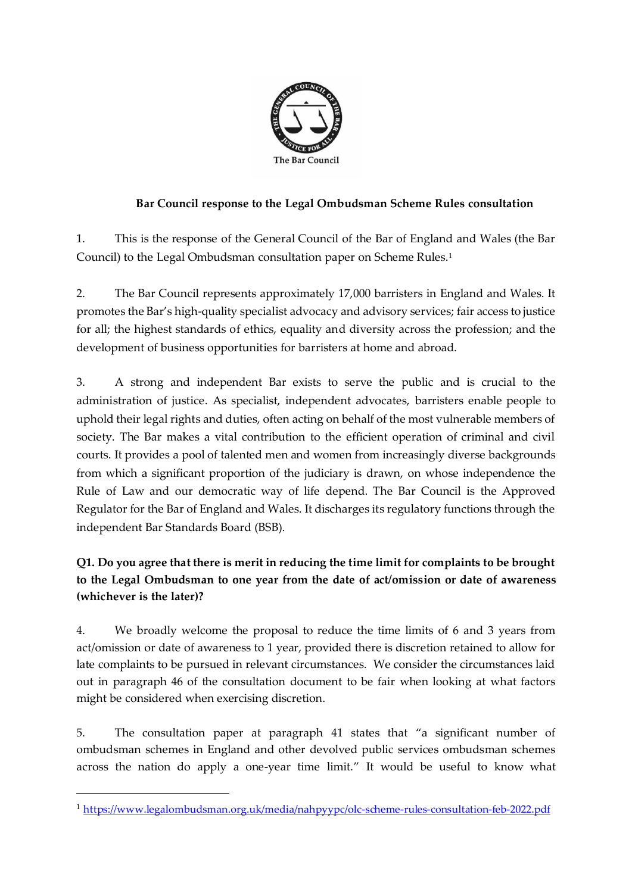

## **Bar Council response to the Legal Ombudsman Scheme Rules consultation**

1. This is the response of the General Council of the Bar of England and Wales (the Bar Council) to the Legal Ombudsman consultation paper on Scheme Rules. 1

2. The Bar Council represents approximately 17,000 barristers in England and Wales. It promotes the Bar's high-quality specialist advocacy and advisory services; fair access to justice for all; the highest standards of ethics, equality and diversity across the profession; and the development of business opportunities for barristers at home and abroad.

3. A strong and independent Bar exists to serve the public and is crucial to the administration of justice. As specialist, independent advocates, barristers enable people to uphold their legal rights and duties, often acting on behalf of the most vulnerable members of society. The Bar makes a vital contribution to the efficient operation of criminal and civil courts. It provides a pool of talented men and women from increasingly diverse backgrounds from which a significant proportion of the judiciary is drawn, on whose independence the Rule of Law and our democratic way of life depend. The Bar Council is the Approved Regulator for the Bar of England and Wales. It discharges its regulatory functions through the independent Bar Standards Board (BSB).

**Q1. Do you agree that there is merit in reducing the time limit for complaints to be brought to the Legal Ombudsman to one year from the date of act/omission or date of awareness (whichever is the later)?** 

4. We broadly welcome the proposal to reduce the time limits of 6 and 3 years from act/omission or date of awareness to 1 year, provided there is discretion retained to allow for late complaints to be pursued in relevant circumstances. We consider the circumstances laid out in paragraph 46 of the consultation document to be fair when looking at what factors might be considered when exercising discretion.

5. The consultation paper at paragraph 41 states that "a significant number of ombudsman schemes in England and other devolved public services ombudsman schemes across the nation do apply a one-year time limit." It would be useful to know what

<sup>1</sup> <https://www.legalombudsman.org.uk/media/nahpyypc/olc-scheme-rules-consultation-feb-2022.pdf>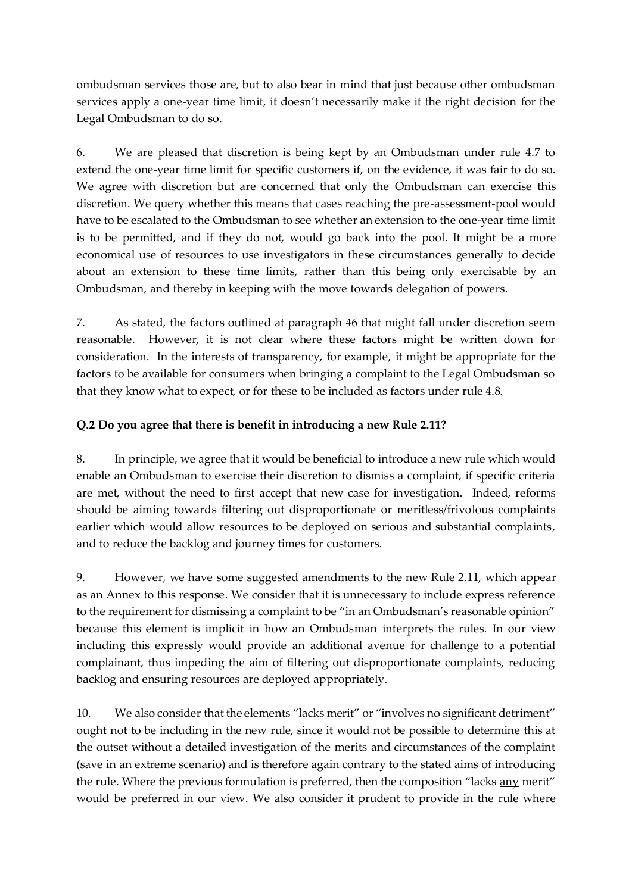ombudsman services those are, but to also bear in mind that just because other ombudsman services apply a one-year time limit, it doesn't necessarily make it the right decision for the Legal Ombudsman to do so.

6. We are pleased that discretion is being kept by an Ombudsman under rule 4.7 to extend the one-year time limit for specific customers if, on the evidence, it was fair to do so. We agree with discretion but are concerned that only the Ombudsman can exercise this discretion. We query whether this means that cases reaching the pre-assessment-pool would have to be escalated to the Ombudsman to see whether an extension to the one-year time limit is to be permitted, and if they do not, would go back into the pool. It might be a more economical use of resources to use investigators in these circumstances generally to decide about an extension to these time limits, rather than this being only exercisable by an Ombudsman, and thereby in keeping with the move towards delegation of powers.

7. As stated, the factors outlined at paragraph 46 that might fall under discretion seem reasonable. However, it is not clear where these factors might be written down for consideration. In the interests of transparency, for example, it might be appropriate for the factors to be available for consumers when bringing a complaint to the Legal Ombudsman so that they know what to expect, or for these to be included as factors under rule 4.8.

#### **Q.2 Do you agree that there is benefit in introducing a new Rule 2.11?**

8. In principle, we agree that it would be beneficial to introduce a new rule which would enable an Ombudsman to exercise their discretion to dismiss a complaint, if specific criteria are met, without the need to first accept that new case for investigation. Indeed, reforms should be aiming towards filtering out disproportionate or meritless/frivolous complaints earlier which would allow resources to be deployed on serious and substantial complaints, and to reduce the backlog and journey times for customers.

9. However, we have some suggested amendments to the new Rule 2.11, which appear as an Annex to this response. We consider that it is unnecessary to include express reference to the requirement for dismissing a complaint to be "in an Ombudsman's reasonable opinion" because this element is implicit in how an Ombudsman interprets the rules. In our view including this expressly would provide an additional avenue for challenge to a potential complainant, thus impeding the aim of filtering out disproportionate complaints, reducing backlog and ensuring resources are deployed appropriately.

10. We also consider that the elements "lacks merit" or "involves no significant detriment" ought not to be including in the new rule, since it would not be possible to determine this at the outset without a detailed investigation of the merits and circumstances of the complaint (save in an extreme scenario) and is therefore again contrary to the stated aims of introducing the rule. Where the previous formulation is preferred, then the composition "lacks any merit" would be preferred in our view. We also consider it prudent to provide in the rule where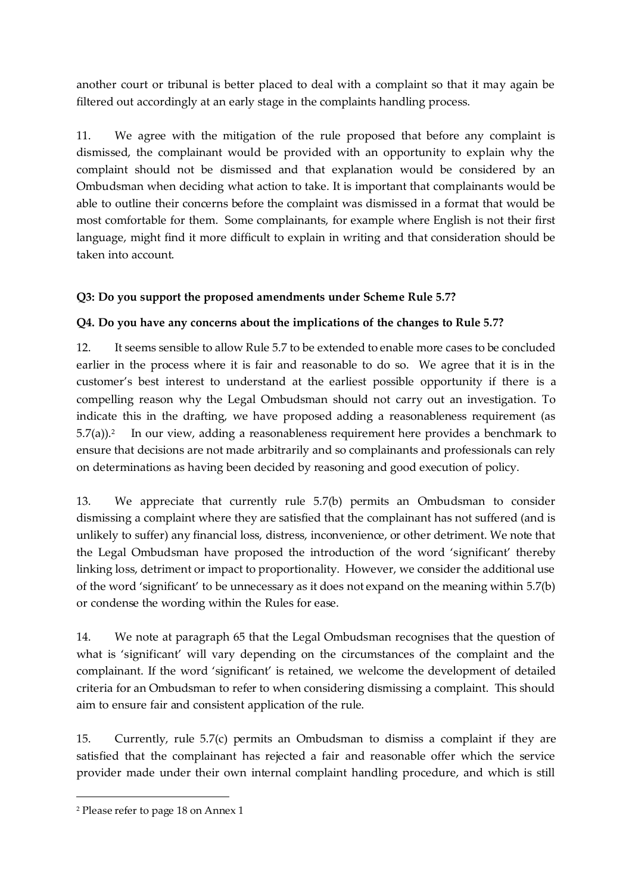another court or tribunal is better placed to deal with a complaint so that it may again be filtered out accordingly at an early stage in the complaints handling process.

11. We agree with the mitigation of the rule proposed that before any complaint is dismissed, the complainant would be provided with an opportunity to explain why the complaint should not be dismissed and that explanation would be considered by an Ombudsman when deciding what action to take. It is important that complainants would be able to outline their concerns before the complaint was dismissed in a format that would be most comfortable for them. Some complainants, for example where English is not their first language, might find it more difficult to explain in writing and that consideration should be taken into account.

#### **Q3: Do you support the proposed amendments under Scheme Rule 5.7?**

#### **Q4. Do you have any concerns about the implications of the changes to Rule 5.7?**

12. It seems sensible to allow Rule 5.7 to be extended to enable more cases to be concluded earlier in the process where it is fair and reasonable to do so. We agree that it is in the customer's best interest to understand at the earliest possible opportunity if there is a compelling reason why the Legal Ombudsman should not carry out an investigation. To indicate this in the drafting, we have proposed adding a reasonableness requirement (as  $5.7(a)$ ).<sup>2</sup> In our view, adding a reasonableness requirement here provides a benchmark to ensure that decisions are not made arbitrarily and so complainants and professionals can rely on determinations as having been decided by reasoning and good execution of policy.

13. We appreciate that currently rule 5.7(b) permits an Ombudsman to consider dismissing a complaint where they are satisfied that the complainant has not suffered (and is unlikely to suffer) any financial loss, distress, inconvenience, or other detriment. We note that the Legal Ombudsman have proposed the introduction of the word 'significant' thereby linking loss, detriment or impact to proportionality. However, we consider the additional use of the word 'significant' to be unnecessary as it does not expand on the meaning within 5.7(b) or condense the wording within the Rules for ease.

14. We note at paragraph 65 that the Legal Ombudsman recognises that the question of what is 'significant' will vary depending on the circumstances of the complaint and the complainant. If the word 'significant' is retained, we welcome the development of detailed criteria for an Ombudsman to refer to when considering dismissing a complaint. This should aim to ensure fair and consistent application of the rule.

15. Currently, rule 5.7(c) permits an Ombudsman to dismiss a complaint if they are satisfied that the complainant has rejected a fair and reasonable offer which the service provider made under their own internal complaint handling procedure, and which is still

<sup>2</sup> Please refer to page 18 on Annex 1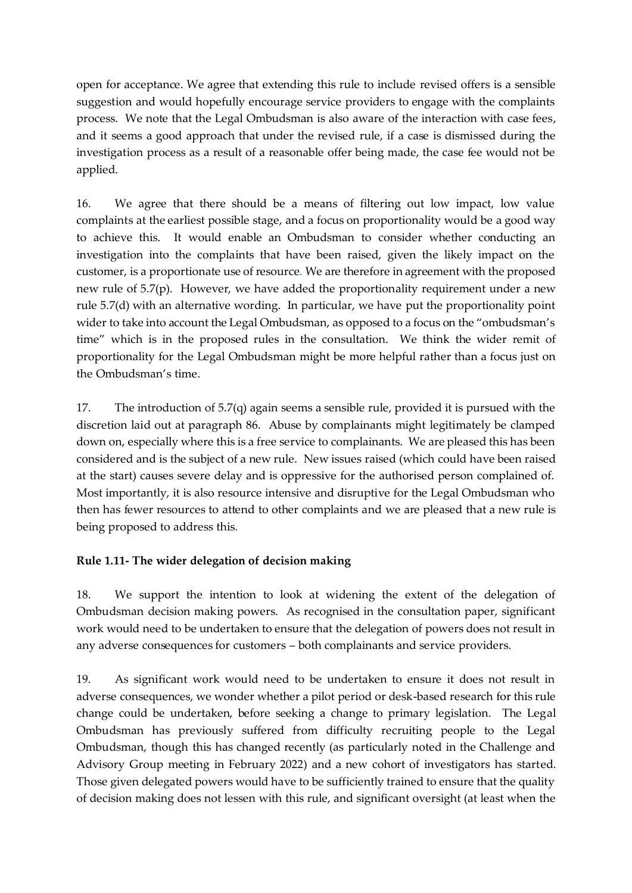open for acceptance. We agree that extending this rule to include revised offers is a sensible suggestion and would hopefully encourage service providers to engage with the complaints process. We note that the Legal Ombudsman is also aware of the interaction with case fees, and it seems a good approach that under the revised rule, if a case is dismissed during the investigation process as a result of a reasonable offer being made, the case fee would not be applied.

16. We agree that there should be a means of filtering out low impact, low value complaints at the earliest possible stage, and a focus on proportionality would be a good way to achieve this. It would enable an Ombudsman to consider whether conducting an investigation into the complaints that have been raised, given the likely impact on the customer, is a proportionate use of resource. We are therefore in agreement with the proposed new rule of 5.7(p). However, we have added the proportionality requirement under a new rule 5.7(d) with an alternative wording. In particular, we have put the proportionality point wider to take into account the Legal Ombudsman, as opposed to a focus on the "ombudsman's time" which is in the proposed rules in the consultation. We think the wider remit of proportionality for the Legal Ombudsman might be more helpful rather than a focus just on the Ombudsman's time.

17. The introduction of 5.7(q) again seems a sensible rule, provided it is pursued with the discretion laid out at paragraph 86. Abuse by complainants might legitimately be clamped down on, especially where this is a free service to complainants. We are pleased this has been considered and is the subject of a new rule. New issues raised (which could have been raised at the start) causes severe delay and is oppressive for the authorised person complained of. Most importantly, it is also resource intensive and disruptive for the Legal Ombudsman who then has fewer resources to attend to other complaints and we are pleased that a new rule is being proposed to address this.

# **Rule 1.11- The wider delegation of decision making**

18. We support the intention to look at widening the extent of the delegation of Ombudsman decision making powers.As recognised in the consultation paper, significant work would need to be undertaken to ensure that the delegation of powers does not result in any adverse consequences for customers – both complainants and service providers.

19. As significant work would need to be undertaken to ensure it does not result in adverse consequences, we wonder whether a pilot period or desk-based research for this rule change could be undertaken, before seeking a change to primary legislation. The Legal Ombudsman has previously suffered from difficulty recruiting people to the Legal Ombudsman, though this has changed recently (as particularly noted in the Challenge and Advisory Group meeting in February 2022) and a new cohort of investigators has started. Those given delegated powers would have to be sufficiently trained to ensure that the quality of decision making does not lessen with this rule, and significant oversight (at least when the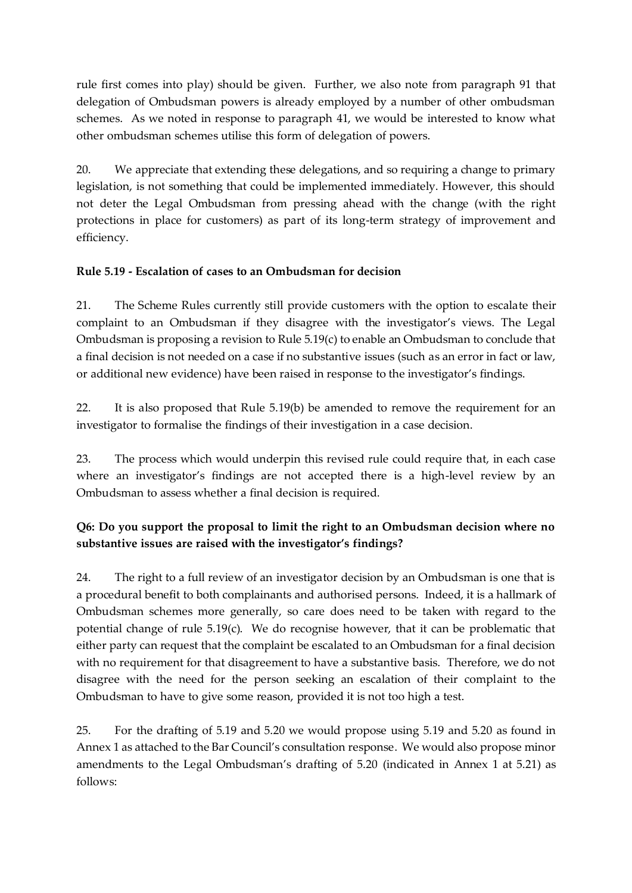rule first comes into play) should be given. Further, we also note from paragraph 91 that delegation of Ombudsman powers is already employed by a number of other ombudsman schemes. As we noted in response to paragraph 41, we would be interested to know what other ombudsman schemes utilise this form of delegation of powers.

20. We appreciate that extending these delegations, and so requiring a change to primary legislation, is not something that could be implemented immediately. However, this should not deter the Legal Ombudsman from pressing ahead with the change (with the right protections in place for customers) as part of its long-term strategy of improvement and efficiency.

# **Rule 5.19 - Escalation of cases to an Ombudsman for decision**

21. The Scheme Rules currently still provide customers with the option to escalate their complaint to an Ombudsman if they disagree with the investigator's views. The Legal Ombudsman is proposing a revision to Rule 5.19(c) to enable an Ombudsman to conclude that a final decision is not needed on a case if no substantive issues (such as an error in fact or law, or additional new evidence) have been raised in response to the investigator's findings.

22. It is also proposed that Rule 5.19(b) be amended to remove the requirement for an investigator to formalise the findings of their investigation in a case decision.

23. The process which would underpin this revised rule could require that, in each case where an investigator's findings are not accepted there is a high-level review by an Ombudsman to assess whether a final decision is required.

# **Q6: Do you support the proposal to limit the right to an Ombudsman decision where no substantive issues are raised with the investigator's findings?**

24. The right to a full review of an investigator decision by an Ombudsman is one that is a procedural benefit to both complainants and authorised persons. Indeed, it is a hallmark of Ombudsman schemes more generally, so care does need to be taken with regard to the potential change of rule 5.19(c). We do recognise however, that it can be problematic that either party can request that the complaint be escalated to an Ombudsman for a final decision with no requirement for that disagreement to have a substantive basis. Therefore, we do not disagree with the need for the person seeking an escalation of their complaint to the Ombudsman to have to give some reason, provided it is not too high a test.

25. For the drafting of 5.19 and 5.20 we would propose using 5.19 and 5.20 as found in Annex 1 as attached to the Bar Council's consultation response. We would also propose minor amendments to the Legal Ombudsman's drafting of 5.20 (indicated in Annex 1 at 5.21) as follows: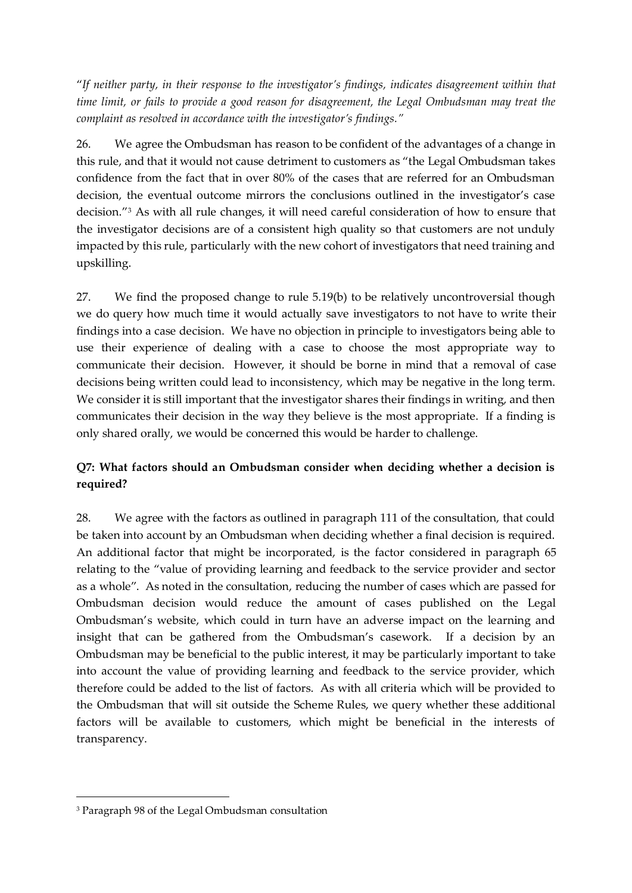"*If neither party, in their response to the investigator's findings, indicates disagreement within that time limit, or fails to provide a good reason for disagreement, the Legal Ombudsman may treat the complaint as resolved in accordance with the investigator's findings."*

26. We agree the Ombudsman has reason to be confident of the advantages of a change in this rule, and that it would not cause detriment to customers as "the Legal Ombudsman takes confidence from the fact that in over 80% of the cases that are referred for an Ombudsman decision, the eventual outcome mirrors the conclusions outlined in the investigator's case decision."<sup>3</sup> As with all rule changes, it will need careful consideration of how to ensure that the investigator decisions are of a consistent high quality so that customers are not unduly impacted by this rule, particularly with the new cohort of investigators that need training and upskilling.

27. We find the proposed change to rule 5.19(b) to be relatively uncontroversial though we do query how much time it would actually save investigators to not have to write their findings into a case decision. We have no objection in principle to investigators being able to use their experience of dealing with a case to choose the most appropriate way to communicate their decision. However, it should be borne in mind that a removal of case decisions being written could lead to inconsistency, which may be negative in the long term. We consider it is still important that the investigator shares their findings in writing, and then communicates their decision in the way they believe is the most appropriate. If a finding is only shared orally, we would be concerned this would be harder to challenge.

# **Q7: What factors should an Ombudsman consider when deciding whether a decision is required?**

28. We agree with the factors as outlined in paragraph 111 of the consultation, that could be taken into account by an Ombudsman when deciding whether a final decision is required. An additional factor that might be incorporated, is the factor considered in paragraph 65 relating to the "value of providing learning and feedback to the service provider and sector as a whole". As noted in the consultation, reducing the number of cases which are passed for Ombudsman decision would reduce the amount of cases published on the Legal Ombudsman's website, which could in turn have an adverse impact on the learning and insight that can be gathered from the Ombudsman's casework. If a decision by an Ombudsman may be beneficial to the public interest, it may be particularly important to take into account the value of providing learning and feedback to the service provider, which therefore could be added to the list of factors. As with all criteria which will be provided to the Ombudsman that will sit outside the Scheme Rules, we query whether these additional factors will be available to customers, which might be beneficial in the interests of transparency.

<sup>3</sup> Paragraph 98 of the Legal Ombudsman consultation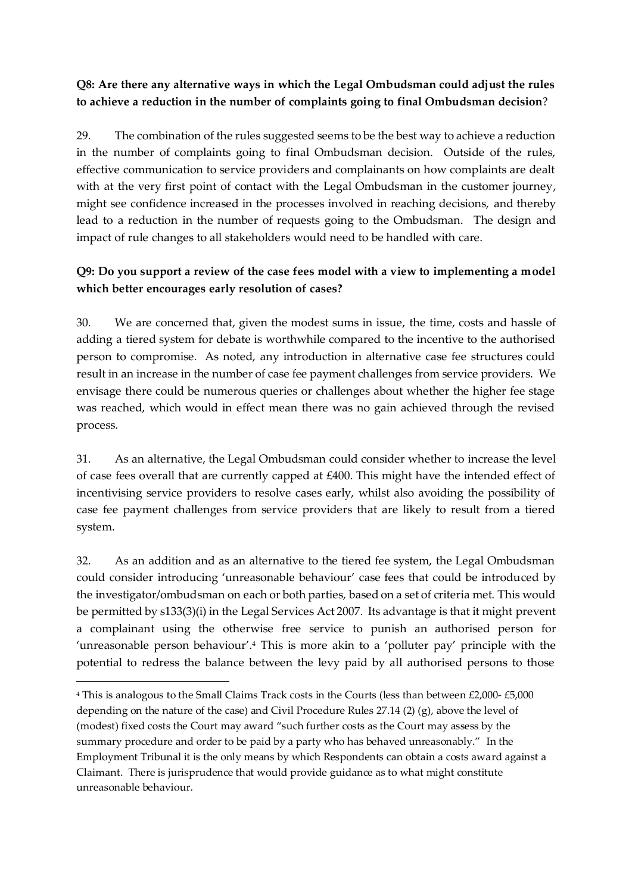# **Q8: Are there any alternative ways in which the Legal Ombudsman could adjust the rules to achieve a reduction in the number of complaints going to final Ombudsman decision**?

29. The combination of the rules suggested seems to be the best way to achieve a reduction in the number of complaints going to final Ombudsman decision. Outside of the rules, effective communication to service providers and complainants on how complaints are dealt with at the very first point of contact with the Legal Ombudsman in the customer journey, might see confidence increased in the processes involved in reaching decisions, and thereby lead to a reduction in the number of requests going to the Ombudsman. The design and impact of rule changes to all stakeholders would need to be handled with care.

# **Q9: Do you support a review of the case fees model with a view to implementing a model which better encourages early resolution of cases?**

30. We are concerned that, given the modest sums in issue, the time, costs and hassle of adding a tiered system for debate is worthwhile compared to the incentive to the authorised person to compromise. As noted, any introduction in alternative case fee structures could result in an increase in the number of case fee payment challenges from service providers. We envisage there could be numerous queries or challenges about whether the higher fee stage was reached, which would in effect mean there was no gain achieved through the revised process.

31. As an alternative, the Legal Ombudsman could consider whether to increase the level of case fees overall that are currently capped at £400. This might have the intended effect of incentivising service providers to resolve cases early, whilst also avoiding the possibility of case fee payment challenges from service providers that are likely to result from a tiered system.

32. As an addition and as an alternative to the tiered fee system, the Legal Ombudsman could consider introducing 'unreasonable behaviour' case fees that could be introduced by the investigator/ombudsman on each or both parties, based on a set of criteria met. This would be permitted by s133(3)(i) in the Legal Services Act 2007. Its advantage is that it might prevent a complainant using the otherwise free service to punish an authorised person for 'unreasonable person behaviour'.<sup>4</sup> This is more akin to a 'polluter pay' principle with the potential to redress the balance between the levy paid by all authorised persons to those

<sup>4</sup> This is analogous to the Small Claims Track costs in the Courts (less than between £2,000- £5,000 depending on the nature of the case) and Civil Procedure Rules 27.14 (2) (g), above the level of (modest) fixed costs the Court may award "such further costs as the Court may assess by the summary procedure and order to be paid by a party who has behaved unreasonably." In the Employment Tribunal it is the only means by which Respondents can obtain a costs award against a Claimant. There is jurisprudence that would provide guidance as to what might constitute unreasonable behaviour.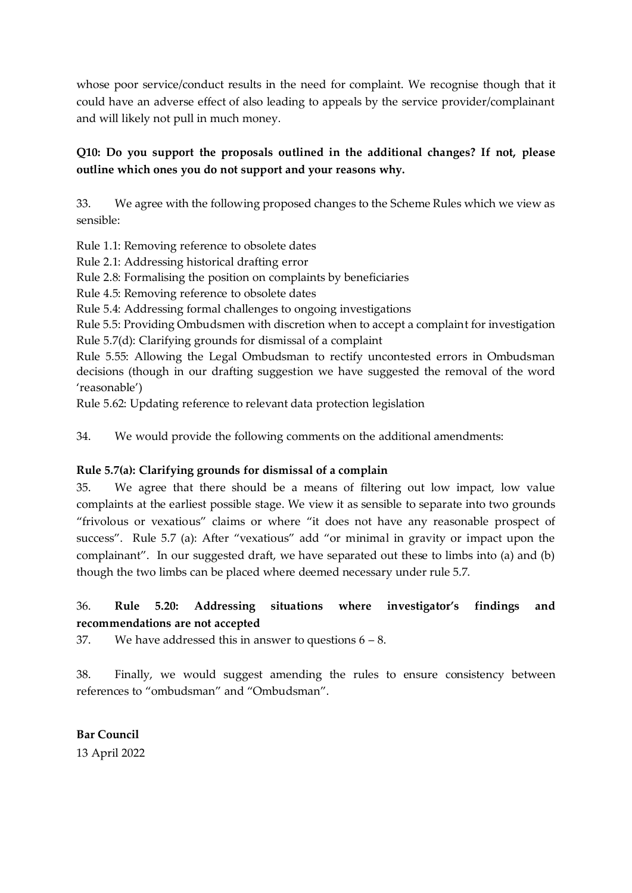whose poor service/conduct results in the need for complaint. We recognise though that it could have an adverse effect of also leading to appeals by the service provider/complainant and will likely not pull in much money.

# **Q10: Do you support the proposals outlined in the additional changes? If not, please outline which ones you do not support and your reasons why.**

33. We agree with the following proposed changes to the Scheme Rules which we view as sensible:

Rule 1.1: Removing reference to obsolete dates

Rule 2.1: Addressing historical drafting error

Rule 2.8: Formalising the position on complaints by beneficiaries

Rule 4.5: Removing reference to obsolete dates

Rule 5.4: Addressing formal challenges to ongoing investigations

Rule 5.5: Providing Ombudsmen with discretion when to accept a complaint for investigation Rule 5.7(d): Clarifying grounds for dismissal of a complaint

Rule 5.55: Allowing the Legal Ombudsman to rectify uncontested errors in Ombudsman decisions (though in our drafting suggestion we have suggested the removal of the word 'reasonable')

Rule 5.62: Updating reference to relevant data protection legislation

34. We would provide the following comments on the additional amendments:

#### **Rule 5.7(a): Clarifying grounds for dismissal of a complain**

35. We agree that there should be a means of filtering out low impact, low value complaints at the earliest possible stage. We view it as sensible to separate into two grounds "frivolous or vexatious" claims or where "it does not have any reasonable prospect of success". Rule 5.7 (a): After "vexatious" add "or minimal in gravity or impact upon the complainant". In our suggested draft, we have separated out these to limbs into (a) and (b) though the two limbs can be placed where deemed necessary under rule 5.7.

# 36. **Rule 5.20: Addressing situations where investigator's findings and recommendations are not accepted**

37. We have addressed this in answer to questions  $6 - 8$ .

38. Finally, we would suggest amending the rules to ensure consistency between references to "ombudsman" and "Ombudsman".

**Bar Council** 13 April 2022